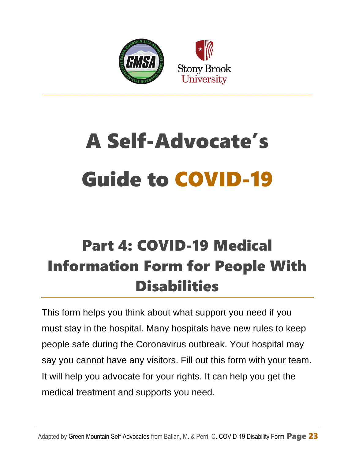

# A Self-Advocate's Guide to COVID-19

# Part 4: COVID-19 Medical Information Form for People With **Disabilities**

This form helps you think about what support you need if you must stay in the hospital. Many hospitals have new rules to keep people safe during the Coronavirus outbreak. Your hospital may say you cannot have any visitors. Fill out this form with your team. It will help you advocate for your rights. It can help you get the medical treatment and supports you need.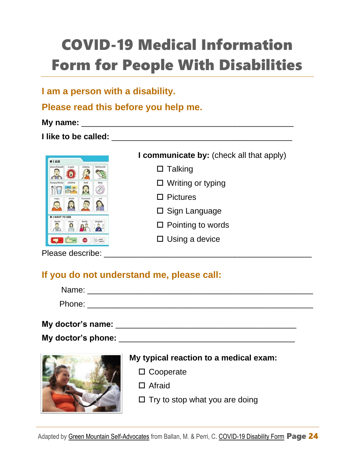# COVID-19 Medical Information Form for People With Disabilities

# **I am a person with a disability.**

## **Please read this before you help me.**

#### **My name:** \_\_\_\_\_\_\_\_\_\_\_\_\_\_\_\_\_\_\_\_\_\_\_\_\_\_\_\_\_\_\_\_\_\_\_\_\_\_\_\_\_\_\_\_\_\_\_

**I** like to be called: **We allex** a set of  $\mathcal{L}$  is a set of  $\mathcal{L}$  is a set of  $\mathcal{L}$  is a set of  $\mathcal{L}$ 



**I communicate by:** (check all that apply)

- $\square$  Talking
- □ Writing or typing
- $\square$  Pictures
- $\square$  Sign Language
- $\square$  Pointing to words
- $\square$  Using a device

Please describe: \_\_\_\_\_\_\_\_\_\_\_\_\_\_\_\_\_\_\_\_\_\_\_\_\_\_\_\_\_\_\_\_\_\_\_\_\_\_\_\_\_\_\_\_\_\_

# **If you do not understand me, please call:**

| Name:  |  |  |  |
|--------|--|--|--|
| Phone: |  |  |  |

#### **My doctor's name:** \_\_\_\_\_\_\_\_\_\_\_\_\_\_\_\_\_\_\_\_\_\_\_\_\_\_\_\_\_\_\_\_\_\_\_\_\_\_\_\_

#### **My doctor's phone:** <u>and the set of the set of the set of the set of the set of the set of the set of the set of the set of the set of the set of the set of the set of the set of the set of the set of the set of the set o</u>



### **My typical reaction to a medical exam:**

- □ Cooperate
- □ Afraid
- $\Box$  Try to stop what you are doing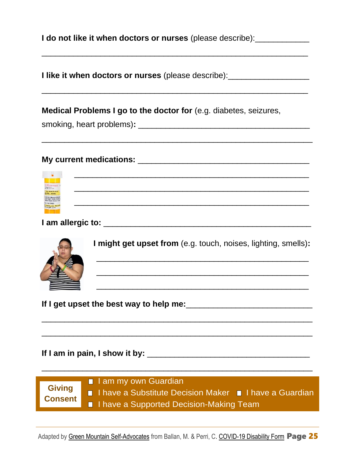| I do not like it when doctors or nurses (please describe): |  |
|------------------------------------------------------------|--|
|------------------------------------------------------------|--|

**I like it when doctors or nurses** (please describe): \_\_\_\_\_\_\_\_\_\_\_\_\_\_\_\_\_\_\_\_\_\_\_\_\_\_\_

\_\_\_\_\_\_\_\_\_\_\_\_\_\_\_\_\_\_\_\_\_\_\_\_\_\_\_\_\_\_\_\_\_\_\_\_\_\_\_\_\_\_\_\_\_\_\_\_\_\_\_\_\_\_\_\_\_\_\_

\_\_\_\_\_\_\_\_\_\_\_\_\_\_\_\_\_\_\_\_\_\_\_\_\_\_\_\_\_\_\_\_\_\_\_\_\_\_\_\_\_\_\_\_\_\_\_\_\_\_\_\_\_\_\_\_\_\_\_

\_\_\_\_\_\_\_\_\_\_\_\_\_\_\_\_\_\_\_\_\_\_\_\_\_\_\_\_\_\_\_\_\_\_\_\_\_\_\_\_\_\_\_\_\_\_\_\_\_\_\_\_\_\_\_\_\_\_\_\_

\_\_\_\_\_\_\_\_\_\_\_\_\_\_\_\_\_\_\_\_\_\_\_\_\_\_\_\_\_\_\_\_\_\_\_\_\_\_\_\_\_\_\_\_\_\_\_\_\_\_\_\_

\_\_\_\_\_\_\_\_\_\_\_\_\_\_\_\_\_\_\_\_\_\_\_\_\_\_\_\_\_\_\_\_\_\_\_\_\_\_\_\_\_\_\_\_\_\_\_\_\_\_\_\_

\_\_\_\_\_\_\_\_\_\_\_\_\_\_\_\_\_\_\_\_\_\_\_\_\_\_\_\_\_\_\_\_\_\_\_\_\_\_\_\_\_\_\_\_\_\_\_\_\_\_\_\_

#### **Medical Problems I go to the doctor for** (e.g. diabetes, seizures,

smoking, heart problems)**:** \_\_\_\_\_\_\_\_\_\_\_\_\_\_\_\_\_\_\_\_\_\_\_\_\_\_\_\_\_\_\_\_\_\_\_\_\_\_

#### **My current medications:** <u>and the set of the set of the set of the set of the set of the set of the set of the set of the set of the set of the set of the set of the set of the set of the set of the set of the set of the </u>



**I** am allergic to: **with a set of the set of the set of the set of the set of the set of the set of the set of the set of the set of the set of the set of the set of the set of the set of the set of the set of the set of** 



 **I might get upset from** (e.g. touch, noises, lighting, smells)**:**

\_\_\_\_\_\_\_\_\_\_\_\_\_\_\_\_\_\_\_\_\_\_\_\_\_\_\_\_\_\_\_\_\_\_\_\_\_\_\_\_\_\_\_\_\_\_\_

\_\_\_\_\_\_\_\_\_\_\_\_\_\_\_\_\_\_\_\_\_\_\_\_\_\_\_\_\_\_\_\_\_\_\_\_\_\_\_\_\_\_\_\_\_\_\_

**If I get upset the best way to help me:**\_\_\_\_\_\_\_\_\_\_\_\_\_\_\_\_\_\_\_\_\_\_\_\_\_\_\_\_

**If I am in pain, I show it by:** \_\_\_\_\_\_\_\_\_\_\_\_\_\_\_\_\_\_\_\_\_\_\_\_\_\_\_\_\_\_\_\_\_\_\_\_



I am my own Guardian I have a Substitute Decision Maker I have a Guardian **I** I have a Supported Decision-Making Team

\_\_\_\_\_\_\_\_\_\_\_\_\_\_\_\_\_\_\_\_\_\_\_\_\_\_\_\_\_\_\_\_\_\_\_\_\_\_\_\_\_\_\_\_\_\_\_\_\_\_\_\_\_\_\_\_\_\_\_\_

\_\_\_\_\_\_\_\_\_\_\_\_\_\_\_\_\_\_\_\_\_\_\_\_\_\_\_\_\_\_\_\_\_\_\_\_\_\_\_\_\_\_\_\_\_\_\_\_\_\_\_\_\_\_\_\_\_\_\_\_

\_\_\_\_\_\_\_\_\_\_\_\_\_\_\_\_\_\_\_\_\_\_\_\_\_\_\_\_\_\_\_\_\_\_\_\_\_\_\_\_\_\_\_\_\_\_\_\_\_\_\_\_\_\_\_\_\_\_\_\_